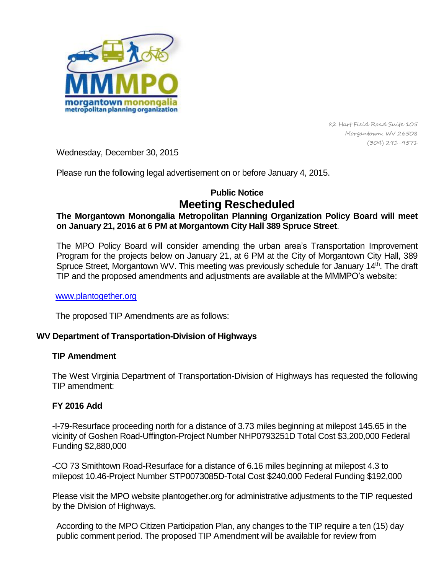

82 Hart Field Road Suite 105 Morgantown, WV 26508 (304) 291-9571

Wednesday, December 30, 2015

Please run the following legal advertisement on or before January 4, 2015.

# **Public Notice Meeting Rescheduled**

## **The Morgantown Monongalia Metropolitan Planning Organization Policy Board will meet on January 21, 2016 at 6 PM at Morgantown City Hall 389 Spruce Street**.

The MPO Policy Board will consider amending the urban area's Transportation Improvement Program for the projects below on January 21, at 6 PM at the City of Morgantown City Hall, 389 Spruce Street, Morgantown WV. This meeting was previously schedule for January 14<sup>th</sup>. The draft TIP and the proposed amendments and adjustments are available at the MMMPO's website:

## [www.plantogether.org](http://www.plantogether.org/)

The proposed TIP Amendments are as follows:

## **WV Department of Transportation-Division of Highways**

### **TIP Amendment**

The West Virginia Department of Transportation-Division of Highways has requested the following TIP amendment:

## **FY 2016 Add**

-I-79-Resurface proceeding north for a distance of 3.73 miles beginning at milepost 145.65 in the vicinity of Goshen Road-Uffington-Project Number NHP0793251D Total Cost \$3,200,000 Federal Funding \$2,880,000

-CO 73 Smithtown Road-Resurface for a distance of 6.16 miles beginning at milepost 4.3 to milepost 10.46-Project Number STP0073085D-Total Cost \$240,000 Federal Funding \$192,000

Please visit the MPO website plantogether.org for administrative adjustments to the TIP requested by the Division of Highways.

According to the MPO Citizen Participation Plan, any changes to the TIP require a ten (15) day public comment period. The proposed TIP Amendment will be available for review from